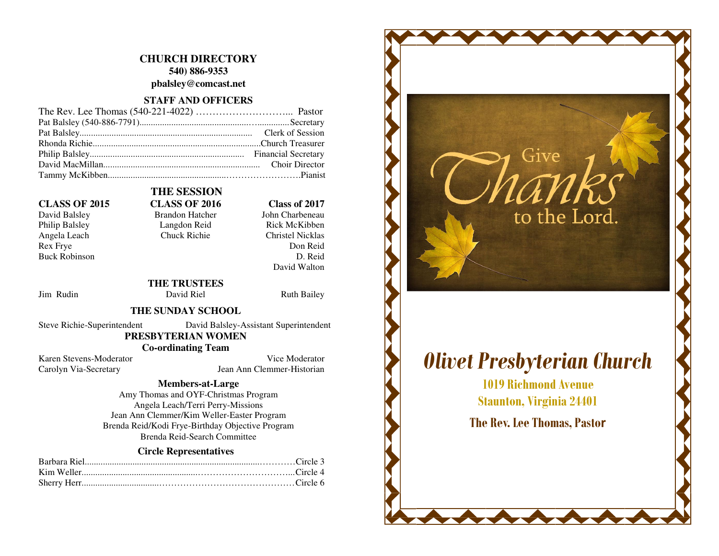## **CHURCH DIRECTORY 540) 886-9353 pbalsley@comcast.net**

## **STAFF AND OFFICERS**

### **CLASS OF 2015 CLASS OF 2016 Class of 2017**

Philip Balsley Langdon Reid Angela Leach Chuck Richie Rex Frye Buck Robinson

# David Balsley Brandon Hatcher

 **THE SESSION** 

#### John Charbeneau Rick McKibben **Christel Nicklas** Don Reid D. Reid David Walton

#### **THE TRUSTEES** Jim Rudin David Riel Ruth Bailey

#### **THE SUNDAY SCHOOL**

Steve Richie-Superintendent David Balsley-Assistant Superintendent

 **PRESBYTERIAN WOMEN** 

 **Co-ordinating Team** 

Karen Stevens-Moderator Vice Moderator Carolyn Via-Secretary Jean Ann Clemmer-Historian

#### **Members-at-Large**

 Amy Thomas and OYF-Christmas Program Angela Leach/Terri Perry-Missions Jean Ann Clemmer/Kim Weller-Easter Program Brenda Reid/Kodi Frye-Birthday Objective Program Brenda Reid-Search Committee

#### **Circle Representatives**